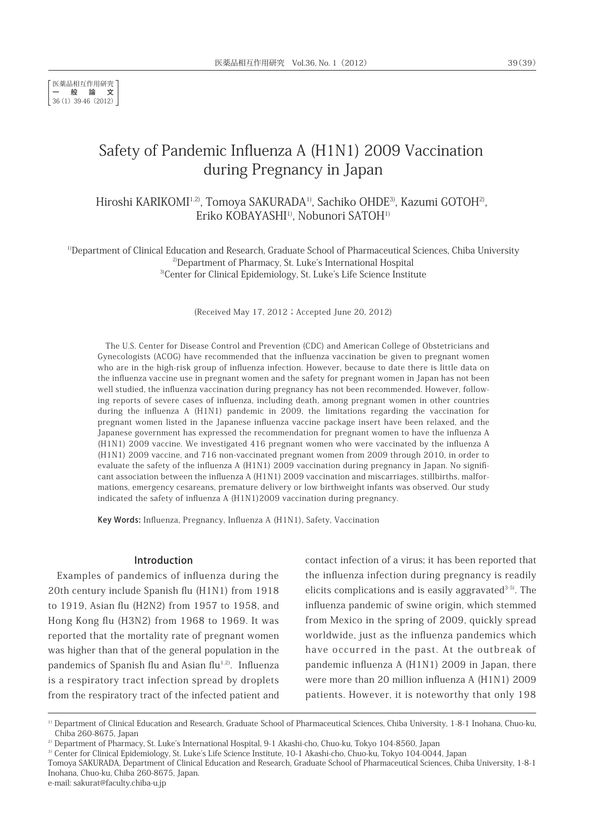医薬品相互作用研究 一般論文 36(1) 39-46 (2012)

# Safety of Pandemic Influenza A (H1N1) 2009 Vaccination during Pregnancy in Japan

Hiroshi KARIKOMI<sup>1,2)</sup>, Tomoya SAKURADA<sup>1)</sup>, Sachiko OHDE<sup>3)</sup>, Kazumi GOTOH<sup>2)</sup>, Eriko KOBAYASHI<sup>1)</sup>, Nobunori SATOH<sup>1)</sup>

<sup>1)</sup>Department of Clinical Education and Research, Graduate School of Pharmaceutical Sciences, Chiba University 2)Department of Pharmacy, St. Luke's International Hospital <sup>3)</sup>Center for Clinical Epidemiology, St. Luke's Life Science Institute

(Received May 17, 2012; Accepted June 20, 2012)

The U.S. Center for Disease Control and Prevention (CDC) and American College of Obstetricians and Gynecologists (ACOG) have recommended that the influenza vaccination be given to pregnant women who are in the high-risk group of influenza infection. However, because to date there is little data on the influenza vaccine use in pregnant women and the safety for pregnant women in Japan has not been well studied, the influenza vaccination during pregnancy has not been recommended. However, following reports of severe cases of influenza, including death, among pregnant women in other countries during the influenza A (H1N1) pandemic in 2009, the limitations regarding the vaccination for pregnant women listed in the Japanese influenza vaccine package insert have been relaxed, and the Japanese government has expressed the recommendation for pregnant women to have the influenza A (H1N1) 2009 vaccine. We investigated 416 pregnant women who were vaccinated by the influenza A (H1N1) 2009 vaccine, and 716 non-vaccinated pregnant women from 2009 through 2010, in order to evaluate the safety of the influenza A (H1N1) 2009 vaccination during pregnancy in Japan. No significant association between the influenza A (H1N1) 2009 vaccination and miscarriages, stillbirths, malformations, emergency cesareans, premature delivery or low birthweight infants was observed. Our study indicated the safety of influenza A (H1N1)2009 vaccination during pregnancy.

Key Words: Influenza, Pregnancy, Influenza A (H1N1), Safety, Vaccination

# Introduction

Examples of pandemics of influenza during the 20th century include Spanish flu (H1N1) from 1918 to 1919, Asian flu (H2N2) from 1957 to 1958, and Hong Kong flu (H3N2) from 1968 to 1969. It was reported that the mortality rate of pregnant women was higher than that of the general population in the pandemics of Spanish flu and Asian flu<sup>1,2)</sup>. Influenza is a respiratory tract infection spread by droplets from the respiratory tract of the infected patient and contact infection of a virus; it has been reported that the influenza infection during pregnancy is readily elicits complications and is easily aggravated $3-5$ . The influenza pandemic of swine origin, which stemmed from Mexico in the spring of 2009, quickly spread worldwide, just as the influenza pandemics which have occurred in the past. At the outbreak of pandemic influenza A (H1N1) 2009 in Japan, there were more than 20 million influenza A (H1N1) 2009 patients. However, it is noteworthy that only 198

<sup>&</sup>lt;sup>1)</sup> Department of Clinical Education and Research, Graduate School of Pharmaceutical Sciences, Chiba University, 1-8-1 Inohana, Chuo-ku, Chiba 260-8675, Japan

<sup>&</sup>lt;sup>2)</sup> Department of Pharmacy, St. Luke's International Hospital, 9-1 Akashi-cho, Chuo-ku, Tokyo 104-8560, Japan

<sup>&</sup>lt;sup>3)</sup> Center for Clinical Epidemiology, St. Luke's Life Science Institute, 10-1 Akashi-cho, Chuo-ku, Tokyo 104-0044, Japan

Tomoya SAKURADA, Department of Clinical Education and Research, Graduate School of Pharmaceutical Sciences, Chiba University, 1-8-1 Inohana, Chuo-ku, Chiba 260-8675, Japan.

e-mail: sakurat@faculty.chiba-u.jp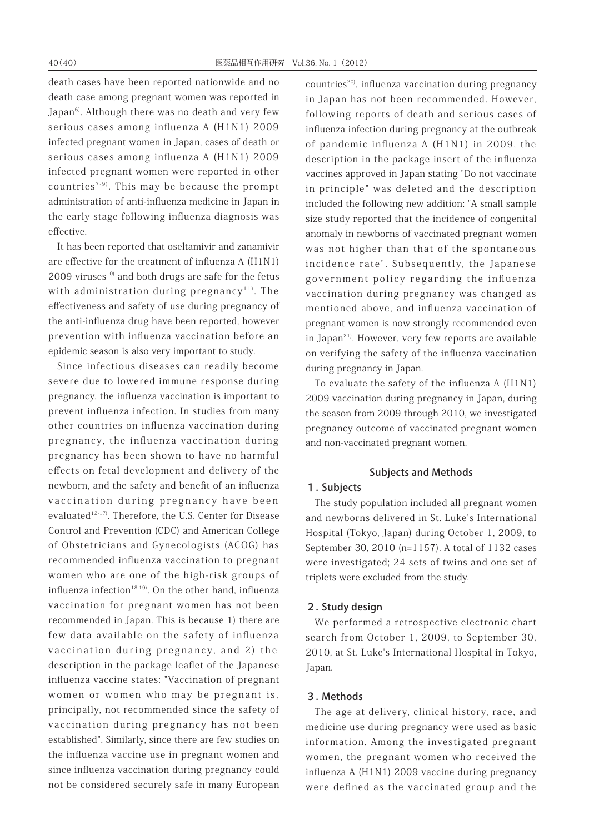death cases have been reported nationwide and no death case among pregnant women was reported in Japan<sup>6)</sup>. Although there was no death and very few serious cases among influenza A (H1N1) 2009 infected pregnant women in Japan, cases of death or serious cases among influenza A (H1N1) 2009 infected pregnant women were reported in other countries<sup> $7-9$ </sup>. This may be because the prompt administration of anti-influenza medicine in Japan in the early stage following influenza diagnosis was effective.

It has been reported that oseltamivir and zanamivir are effective for the treatment of influenza A (H1N1)  $2009$  viruses<sup>10)</sup> and both drugs are safe for the fetus with administration during pregnancy<sup>11)</sup>. The effectiveness and safety of use during pregnancy of the anti-influenza drug have been reported, however prevention with influenza vaccination before an epidemic season is also very important to study.

Since infectious diseases can readily become severe due to lowered immune response during pregnancy, the influenza vaccination is important to prevent influenza infection. In studies from many other countries on influenza vaccination during pregnancy, the influenza vaccination during pregnancy has been shown to have no harmful effects on fetal development and delivery of the newborn, and the safety and benefit of an influenza vaccination during pregnancy have been evaluated<sup>12-17</sup>). Therefore, the U.S. Center for Disease Control and Prevention (CDC) and American College of Obstetricians and Gynecologists (ACOG) has recommended influenza vaccination to pregnant women who are one of the high-risk groups of influenza infection<sup>18,19)</sup>. On the other hand, influenza vaccination for pregnant women has not been recommended in Japan. This is because 1) there are few data available on the safety of influenza vaccination during pregnancy, and 2) the description in the package leaflet of the Japanese influenza vaccine states: "Vaccination of pregnant women or women who may be pregnant is, principally, not recommended since the safety of vaccination during pregnancy has not been established". Similarly, since there are few studies on the influenza vaccine use in pregnant women and since influenza vaccination during pregnancy could not be considered securely safe in many European countries<sup>20)</sup>, influenza vaccination during pregnancy in Japan has not been recommended. However, following reports of death and serious cases of influenza infection during pregnancy at the outbreak of pandemic influenza A (H1N1) in 2009, the description in the package insert of the influenza vaccines approved in Japan stating "Do not vaccinate in principle" was deleted and the description included the following new addition: "A small sample size study reported that the incidence of congenital anomaly in newborns of vaccinated pregnant women was not higher than that of the spontaneous incidence rate". Subsequently, the Japanese government policy regarding the influenza vaccination during pregnancy was changed as mentioned above, and influenza vaccination of pregnant women is now strongly recommended even in Japan<sup>21)</sup>. However, very few reports are available on verifying the safety of the influenza vaccination during pregnancy in Japan.

To evaluate the safety of the influenza A (H1N1) 2009 vaccination during pregnancy in Japan, during the season from 2009 through 2010, we investigated pregnancy outcome of vaccinated pregnant women and non-vaccinated pregnant women.

# Subjects and Methods

# 1. Subjects

The study population included all pregnant women and newborns delivered in St. Luke's International Hospital (Tokyo, Japan) during October 1, 2009, to September 30, 2010 (n=1157). A total of 1132 cases were investigated; 24 sets of twins and one set of triplets were excluded from the study.

#### 2. Study design

We performed a retrospective electronic chart search from October 1, 2009, to September 30, 2010, at St. Luke's International Hospital in Tokyo, Japan.

# 3. Methods

The age at delivery, clinical history, race, and medicine use during pregnancy were used as basic information. Among the investigated pregnant women, the pregnant women who received the influenza A (H1N1) 2009 vaccine during pregnancy were defined as the vaccinated group and the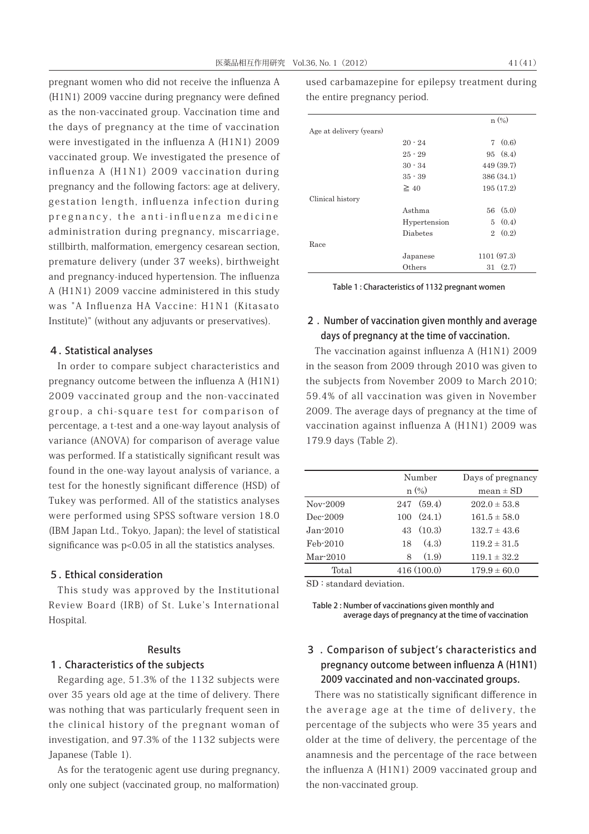pregnant women who did not receive the influenza A (H1N1) 2009 vaccine during pregnancy were defined as the non-vaccinated group. Vaccination time and the days of pregnancy at the time of vaccination were investigated in the influenza A (H1N1) 2009 vaccinated group. We investigated the presence of influenza A (H1N1) 2009 vaccination during pregnancy and the following factors: age at delivery, gestation length, influenza infection during pregnancy, the anti-influenza medicine administration during pregnancy, miscarriage, stillbirth, malformation, emergency cesarean section, premature delivery (under 37 weeks), birthweight and pregnancy-induced hypertension. The influenza A (H1N1) 2009 vaccine administered in this study was "A Influenza HA Vaccine: H1N1 (Kitasato Institute)" (without any adjuvants or preservatives).

# 4. Statistical analyses

In order to compare subject characteristics and pregnancy outcome between the influenza A (H1N1) 2009 vaccinated group and the non-vaccinated group, a chi-square test for comparison of percentage, a t-test and a one-way layout analysis of variance (ANOVA) for comparison of average value was performed. If a statistically significant result was found in the one-way layout analysis of variance, a test for the honestly significant difference (HSD) of Tukey was performed. All of the statistics analyses were performed using SPSS software version 18.0 (IBM Japan Ltd., Tokyo, Japan); the level of statistical significance was p<0.05 in all the statistics analyses.

# 5. Ethical consideration

This study was approved by the Institutional Review Board (IRB) of St. Luke's International Hospital.

# Results

# 1. Characteristics of the subjects

Regarding age, 51.3% of the 1132 subjects were over 35 years old age at the time of delivery. There was nothing that was particularly frequent seen in the clinical history of the pregnant woman of investigation, and 97.3% of the 1132 subjects were Japanese (Table 1).

As for the teratogenic agent use during pregnancy, only one subject (vaccinated group, no malformation) used carbamazepine for epilepsy treatment during the entire pregnancy period.

|                         |              | $n(\%)$    |
|-------------------------|--------------|------------|
| Age at delivery (years) |              |            |
|                         | $20 - 24$    | 7(0.6)     |
|                         | $25 - 29$    | 95(8.4)    |
|                         | $30 - 34$    | 449 (39.7) |
|                         | $35 - 39$    | 386 (34.1) |
|                         | $\geq 40$    | 195(17.2)  |
| Clinical history        |              |            |
|                         | Asthma       | 56(5.0)    |
|                         | Hypertension | 5(0.4)     |
|                         | Diabetes     | 2(0.2)     |
| Race                    |              |            |
|                         | Japanese     | 1101(97.3) |
|                         | Others       | 31(2.7)    |

Table 1 : Characteristics of 1132 pregnant women

# 2 . Number of vaccination given monthly and average days of pregnancy at the time of vaccination.

The vaccination against influenza A (H1N1) 2009 in the season from 2009 through 2010 was given to the subjects from November 2009 to March 2010; 59.4% of all vaccination was given in November 2009. The average days of pregnancy at the time of vaccination against influenza A (H1N1) 2009 was 179.9 days (Table 2).

|            |     | Number     | Days of pregnancy |
|------------|-----|------------|-------------------|
|            |     | $n(\%)$    | mean $\pm$ SD     |
| $Nov-2009$ |     | 247(59.4)  | $202.0 \pm 53.8$  |
| Dec-2009   | 100 | (24.1)     | $161.5 \pm 58.0$  |
| $Jan-2010$ |     | 43(10.3)   | $132.7 \pm 43.6$  |
| Feb-2010   | 18  | (4.3)      | $119.2 \pm 31.5$  |
| Mar 2010   | 8   | (1.9)      | $119.1 \pm 32.2$  |
| Total      |     | 416(100.0) | $179.9 \pm 60.0$  |

SD : standard deviation.

Table 2 : Number of vaccinations given monthly and average days of pregnancy at the time of vaccination

# 3 . Comparison of subject's characteristics and pregnancy outcome between influenza A (H1N1) 2009 vaccinated and non-vaccinated groups.

There was no statistically significant difference in the average age at the time of delivery, the percentage of the subjects who were 35 years and older at the time of delivery, the percentage of the anamnesis and the percentage of the race between the influenza A (H1N1) 2009 vaccinated group and the non-vaccinated group.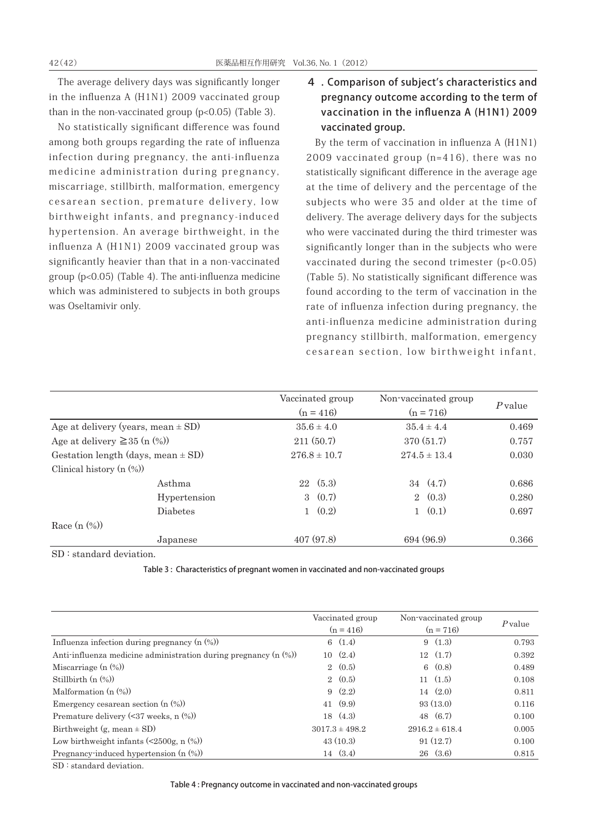The average delivery days was significantly longer in the influenza A (H1N1) 2009 vaccinated group than in the non-vaccinated group  $(p<0.05)$  (Table 3).

No statistically significant difference was found among both groups regarding the rate of influenza infection during pregnancy, the anti-influenza medicine administration during pregnancy, miscarriage, stillbirth, malformation, emergency cesarean section, premature delivery, low birthweight infants, and pregnancy-induced hypertension. An average birthweight, in the influenza A (H1N1) 2009 vaccinated group was significantly heavier than that in a non-vaccinated group (p<0.05) (Table 4). The anti-influenza medicine which was administered to subjects in both groups was Oseltamivir only.

4 . Comparison of subject's characteristics and pregnancy outcome according to the term of vaccination in the influenza A (H1N1) 2009 vaccinated group.

By the term of vaccination in influenza A (H1N1) 2009 vaccinated group (n=416), there was no statistically significant difference in the average age at the time of delivery and the percentage of the subjects who were 35 and older at the time of delivery. The average delivery days for the subjects who were vaccinated during the third trimester was significantly longer than in the subjects who were vaccinated during the second trimester (p<0.05) (Table 5). No statistically significant difference was found according to the term of vaccination in the rate of influenza infection during pregnancy, the anti-influenza medicine administration during pregnancy stillbirth, malformation, emergency cesarean section, low birthweight infant,

|                                        | Vaccinated group | Non-vaccinated group |           |
|----------------------------------------|------------------|----------------------|-----------|
|                                        | $(n = 416)$      | $(n = 716)$          | $P$ value |
| Age at delivery (years, mean $\pm$ SD) | $35.6 \pm 4.0$   | $35.4 \pm 4.4$       | 0.469     |
| Age at delivery $\geq$ 35 (n $(\%)$ )  | 211(50.7)        | 370(51.7)            | 0.757     |
| Gestation length (days, mean $\pm$ SD) | $276.8 \pm 10.7$ | $274.5 \pm 13.4$     | 0.030     |
| Clinical history $(n \ (\%))$          |                  |                      |           |
| Asthma                                 | 22(5.3)          | $34 \quad (4.7)$     | 0.686     |
| Hypertension                           | 3(0.7)           | $2 \quad (0.3)$      | 0.280     |
| <b>Diabetes</b>                        | $1 \quad (0.2)$  | $1 \quad (0.1)$      | 0.697     |
| Race $(n \ (\%))$                      |                  |                      |           |
| Japanese                               | 407(97.8)        | 694 (96.9)           | 0.366     |

SD : standard deviation.

Table 3 : Characteristics of pregnant women in vaccinated and non-vaccinated groups

|                                                                    | Vaccinated group<br>$(n = 416)$ | Non-vaccinated group<br>$(n = 716)$ | $P$ value |
|--------------------------------------------------------------------|---------------------------------|-------------------------------------|-----------|
| Influenza infection during pregnancy $(n \ (\%))$                  | 6(1.4)                          | 9(1.3)                              | 0.793     |
| Anti-influenza medicine administration during pregnancy $(n \, 0)$ | 10(2.4)                         | 12(1.7)                             | 0.392     |
| Miscarriage $(n \ (\%)$                                            | 2(0.5)                          | 6(0.8)                              | 0.489     |
| Stillbirth $(n \ (\%))$                                            | 2(0.5)                          | 11(1.5)                             | 0.108     |
| Malformation $(n \ (\%)$                                           | 9(2.2)                          | 14(2.0)                             | 0.811     |
| Emergency cesarean section $(n \ (\%))$                            | 41(9.9)                         | 93(13.0)                            | 0.116     |
| Premature delivery $(37$ weeks, n $(\%)$                           | 18(4.3)                         | 48 (6.7)                            | 0.100     |
| Birthweight $(g, mean \pm SD)$                                     | $3017.3 \pm 498.2$              | $2916.2 \pm 618.4$                  | 0.005     |
| Low birthweight infants $(\leq 2500$ g, n $(\%)$                   | 43(10.3)                        | 91(12.7)                            | 0.100     |
| Pregnancy-induced hypertension $(n \ (\%))$                        | 14(3.4)                         | 26(3.6)                             | 0.815     |

SD : standard deviation.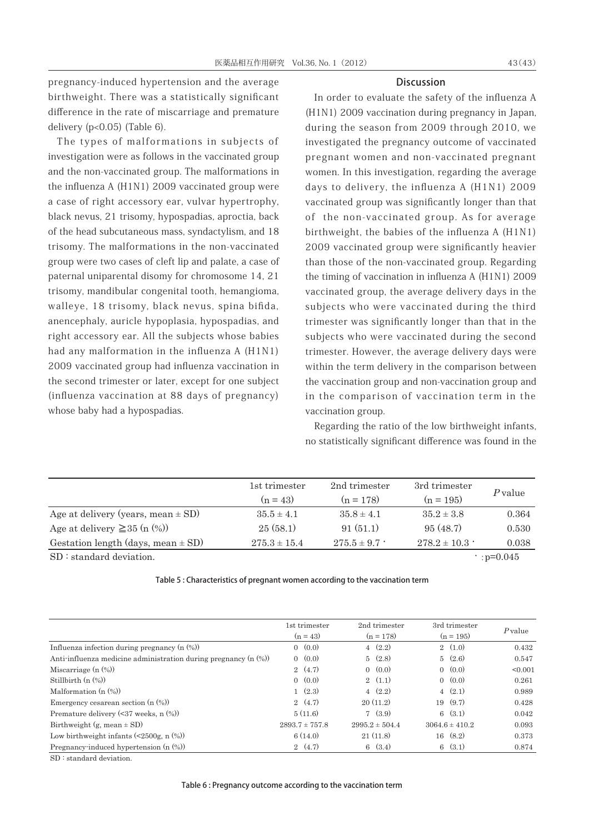pregnancy-induced hypertension and the average birthweight. There was a statistically significant difference in the rate of miscarriage and premature delivery (p<0.05) (Table 6).

The types of malformations in subjects of investigation were as follows in the vaccinated group and the non-vaccinated group. The malformations in the influenza A (H1N1) 2009 vaccinated group were a case of right accessory ear, vulvar hypertrophy, black nevus, 21 trisomy, hypospadias, aproctia, back of the head subcutaneous mass, syndactylism, and 18 trisomy. The malformations in the non-vaccinated group were two cases of cleft lip and palate, a case of paternal uniparental disomy for chromosome 14, 21 trisomy, mandibular congenital tooth, hemangioma, walleye, 18 trisomy, black nevus, spina bifida, anencephaly, auricle hypoplasia, hypospadias, and right accessory ear. All the subjects whose babies had any malformation in the influenza A (H1N1) 2009 vaccinated group had influenza vaccination in the second trimester or later, except for one subject (influenza vaccination at 88 days of pregnancy) whose baby had a hypospadias.

#### **Discussion**

In order to evaluate the safety of the influenza A (H1N1) 2009 vaccination during pregnancy in Japan, during the season from 2009 through 2010, we investigated the pregnancy outcome of vaccinated pregnant women and non-vaccinated pregnant women. In this investigation, regarding the average days to delivery, the influenza A (H1N1) 2009 vaccinated group was significantly longer than that of the non-vaccinated group. As for average birthweight, the babies of the influenza A (H1N1) 2009 vaccinated group were significantly heavier than those of the non-vaccinated group. Regarding the timing of vaccination in influenza A (H1N1) 2009 vaccinated group, the average delivery days in the subjects who were vaccinated during the third trimester was significantly longer than that in the subjects who were vaccinated during the second trimester. However, the average delivery days were within the term delivery in the comparison between the vaccination group and non-vaccination group and in the comparison of vaccination term in the vaccination group.

Regarding the ratio of the low birthweight infants, no statistically significant difference was found in the

|                                        | 1st trimester    | 2nd trimester   | 3rd trimester    |        |
|----------------------------------------|------------------|-----------------|------------------|--------|
|                                        | $(n = 43)$       | $(n = 178)$     | $(n = 195)$      | Pyalue |
| Age at delivery (years, mean $\pm$ SD) | $35.5 \pm 4.1$   | $35.8 \pm 4.1$  | $35.2 \pm 3.8$   | 0.364  |
| Age at delivery $\geq$ 35 (n $(\%)$ )  | 25(58.1)         | 91(51.1)        | 95(48.7)         | 0.530  |
| Gestation length (days, mean $\pm$ SD) | $275.3 \pm 15.4$ | $275.5 \pm 9.7$ | $278.2 \pm 10.3$ | 0.038  |

 $SD: standard deviation.$  p=0.045

|  |  | Table 5 : Characteristics of pregnant women according to the vaccination term |
|--|--|-------------------------------------------------------------------------------|
|--|--|-------------------------------------------------------------------------------|

|                                                                    | 1st trimester      | 2nd trimester      | 3rd trimester      | $P$ value |
|--------------------------------------------------------------------|--------------------|--------------------|--------------------|-----------|
|                                                                    | $(n = 43)$         | $(n = 178)$        | $(n = 195)$        |           |
| Influenza infection during pregnancy $(n \ (\%))$                  | 0(0.0)             | 4(2.2)             | 2(1.0)             | 0.432     |
| Anti-influenza medicine administration during pregnancy $(n \, 0)$ | 0(0.0)             | 5(2.8)             | 5(2.6)             | 0.547     |
| Miscarriage $(n \ (\%)$                                            | 2(4.7)             | 0(0.0)             | 0(0.0)             | < 0.001   |
| Stillbirth $(n \ (\%))$                                            | 0(0.0)             | 2(1.1)             | 0(0.0)             | 0.261     |
| Malformation $(n \ (\%)$                                           | 1(2.3)             | 4(2.2)             | 4(2.1)             | 0.989     |
| Emergency cesarean section $(n \ (\%))$                            | 2(4.7)             | 20(11.2)           | 19(9.7)            | 0.428     |
| Premature delivery $(\leq 37$ weeks, n $(\%)$                      | 5(11.6)            | 7(3.9)             | 6(3.1)             | 0.042     |
| Birthweight $(g, \text{mean} \pm SD)$                              | $2893.7 \pm 757.8$ | $2995.2 \pm 504.4$ | $3064.6 \pm 410.2$ | 0.093     |
| Low birthweight infants $(\leq 2500$ g, n $(\%)$                   | 6(14.0)            | 21(11.8)           | 16(8.2)            | 0.373     |
| Pregnancy-induced hypertension $(n \ (\%))$                        | 2(4.7)             | 6(3.4)             | 6(3.1)             | 0.874     |

SD : standard deviation.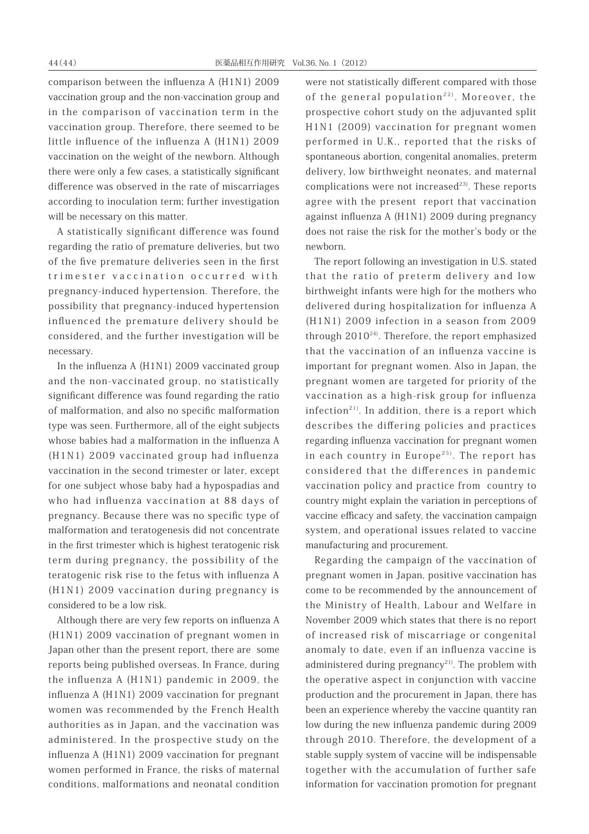comparison between the influenza A (H1N1) 2009 vaccination group and the non-vaccination group and in the comparison of vaccination term in the vaccination group. Therefore, there seemed to be little influence of the influenza A (H1N1) 2009 vaccination on the weight of the newborn. Although there were only a few cases, a statistically significant difference was observed in the rate of miscarriages according to inoculation term; further investigation will be necessary on this matter.

A statistically significant difference was found regarding the ratio of premature deliveries, but two of the five premature deliveries seen in the first trimester vaccination occurred with pregnancy-induced hypertension. Therefore, the possibility that pregnancy-induced hypertension influenced the premature delivery should be considered, and the further investigation will be necessary.

In the influenza A (H1N1) 2009 vaccinated group and the non-vaccinated group, no statistically significant difference was found regarding the ratio of malformation, and also no specific malformation type was seen. Furthermore, all of the eight subjects whose babies had a malformation in the influenza A (H1N1) 2009 vaccinated group had influenza vaccination in the second trimester or later, except for one subject whose baby had a hypospadias and who had influenza vaccination at 88 days of pregnancy. Because there was no specific type of malformation and teratogenesis did not concentrate in the first trimester which is highest teratogenic risk term during pregnancy, the possibility of the teratogenic risk rise to the fetus with influenza A (H1N1) 2009 vaccination during pregnancy is considered to be a low risk.

Although there are very few reports on influenza A (H1N1) 2009 vaccination of pregnant women in Japan other than the present report, there are some reports being published overseas. In France, during the influenza A (H1N1) pandemic in 2009, the influenza A (H1N1) 2009 vaccination for pregnant women was recommended by the French Health authorities as in Japan, and the vaccination was administered. In the prospective study on the influenza A (H1N1) 2009 vaccination for pregnant women performed in France, the risks of maternal conditions, malformations and neonatal condition were not statistically different compared with those of the general population<sup>22)</sup>. Moreover, the prospective cohort study on the adjuvanted split H1N1 (2009) vaccination for pregnant women performed in U.K., reported that the risks of spontaneous abortion, congenital anomalies, preterm delivery, low birthweight neonates, and maternal complications were not increased $^{23)}$ . These reports agree with the present report that vaccination against influenza A (H1N1) 2009 during pregnancy does not raise the risk for the mother's body or the newborn.

The report following an investigation in U.S. stated that the ratio of preterm delivery and low birthweight infants were high for the mothers who delivered during hospitalization for influenza A (H1N1) 2009 infection in a season from 2009 through  $2010^{24}$ . Therefore, the report emphasized that the vaccination of an influenza vaccine is important for pregnant women. Also in Japan, the pregnant women are targeted for priority of the vaccination as a high-risk group for influenza infection<sup>21)</sup>. In addition, there is a report which describes the differing policies and practices regarding influenza vaccination for pregnant women in each country in Europe<sup>25)</sup>. The report has considered that the differences in pandemic vaccination policy and practice from country to country might explain the variation in perceptions of vaccine efficacy and safety, the vaccination campaign system, and operational issues related to vaccine manufacturing and procurement.

Regarding the campaign of the vaccination of pregnant women in Japan, positive vaccination has come to be recommended by the announcement of the Ministry of Health, Labour and Welfare in November 2009 which states that there is no report of increased risk of miscarriage or congenital anomaly to date, even if an influenza vaccine is administered during pregnancy<sup>21)</sup>. The problem with the operative aspect in conjunction with vaccine production and the procurement in Japan, there has been an experience whereby the vaccine quantity ran low during the new influenza pandemic during 2009 through 2010. Therefore, the development of a stable supply system of vaccine will be indispensable together with the accumulation of further safe information for vaccination promotion for pregnant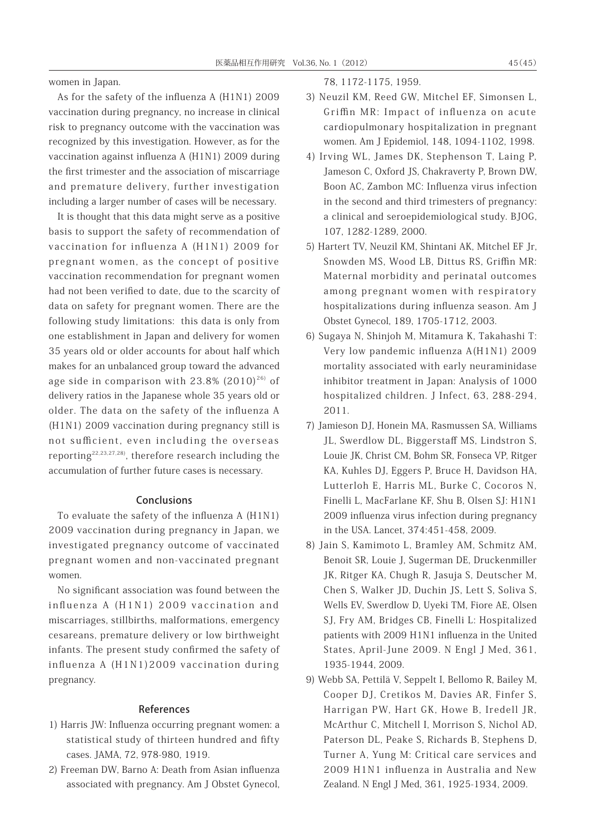women in Japan.

As for the safety of the influenza A (H1N1) 2009 vaccination during pregnancy, no increase in clinical risk to pregnancy outcome with the vaccination was recognized by this investigation. However, as for the vaccination against influenza A (H1N1) 2009 during the first trimester and the association of miscarriage and premature delivery, further investigation including a larger number of cases will be necessary.

It is thought that this data might serve as a positive basis to support the safety of recommendation of vaccination for influenza A (H1N1) 2009 for pregnant women, as the concept of positive vaccination recommendation for pregnant women had not been verified to date, due to the scarcity of data on safety for pregnant women. There are the following study limitations: this data is only from one establishment in Japan and delivery for women 35 years old or older accounts for about half which makes for an unbalanced group toward the advanced age side in comparison with  $23.8\%$  (2010)<sup>26)</sup> of delivery ratios in the Japanese whole 35 years old or older. The data on the safety of the influenza A (H1N1) 2009 vaccination during pregnancy still is not sufficient, even including the overseas reporting22,23,27,28), therefore research including the accumulation of further future cases is necessary.

## Conclusions

To evaluate the safety of the influenza A (H1N1) 2009 vaccination during pregnancy in Japan, we investigated pregnancy outcome of vaccinated pregnant women and non-vaccinated pregnant women.

No significant association was found between the influenza A (H1N1) 2009 vaccination and miscarriages, stillbirths, malformations, emergency cesareans, premature delivery or low birthweight infants. The present study confirmed the safety of influenza A (H1N1)2009 vaccination during pregnancy.

# References

- 1) Harris JW: Influenza occurring pregnant women: a statistical study of thirteen hundred and fifty cases. JAMA, 72, 978-980, 1919.
- 2) Freeman DW, Barno A: Death from Asian influenza associated with pregnancy. Am J Obstet Gynecol,

78, 1172-1175, 1959.

- 3) Neuzil KM, Reed GW, Mitchel EF, Simonsen L, Griffin MR: Impact of influenza on acute cardiopulmonary hospitalization in pregnant women. Am J Epidemiol, 148, 1094-1102, 1998.
- 4) Irving WL, James DK, Stephenson T, Laing P, Jameson C, Oxford JS, Chakraverty P, Brown DW, Boon AC, Zambon MC: Influenza virus infection in the second and third trimesters of pregnancy: a clinical and seroepidemiological study. BJOG, 107, 1282-1289, 2000.
- 5) Hartert TV, Neuzil KM, Shintani AK, Mitchel EF Jr, Snowden MS, Wood LB, Dittus RS, Griffin MR: Maternal morbidity and perinatal outcomes among pregnant women with respiratory hospitalizations during influenza season. Am J Obstet Gynecol, 189, 1705-1712, 2003.
- 6) Sugaya N, Shinjoh M, Mitamura K, Takahashi T: Very low pandemic influenza A(H1N1) 2009 mortality associated with early neuraminidase inhibitor treatment in Japan: Analysis of 1000 hospitalized children. J Infect, 63, 288-294, 2011.
- 7) Jamieson DJ, Honein MA, Rasmussen SA, Williams JL, Swerdlow DL, Biggerstaff MS, Lindstron S, Louie JK, Christ CM, Bohm SR, Fonseca VP, Ritger KA, Kuhles DJ, Eggers P, Bruce H, Davidson HA, Lutterloh E, Harris ML, Burke C, Cocoros N, Finelli L, MacFarlane KF, Shu B, Olsen SJ: H1N1 2009 influenza virus infection during pregnancy in the USA. Lancet, 374:451-458, 2009.
- 8) Jain S, Kamimoto L, Bramley AM, Schmitz AM, Benoit SR, Louie J, Sugerman DE, Druckenmiller JK, Ritger KA, Chugh R, Jasuja S, Deutscher M, Chen S, Walker JD, Duchin JS, Lett S, Soliva S, Wells EV, Swerdlow D, Uyeki TM, Fiore AE, Olsen SJ, Fry AM, Bridges CB, Finelli L: Hospitalized patients with 2009 H1N1 influenza in the United States, April-June 2009. N Engl J Med, 361, 1935-1944, 2009.
- 9) Webb SA, Pettilä V, Seppelt I, Bellomo R, Bailey M, Cooper DJ, Cretikos M, Davies AR, Finfer S, Harrigan PW, Hart GK, Howe B, Iredell JR, McArthur C, Mitchell I, Morrison S, Nichol AD, Paterson DL, Peake S, Richards B, Stephens D, Turner A, Yung M: Critical care services and 2009 H1N1 influenza in Australia and New Zealand. N Engl J Med, 361, 1925-1934, 2009.